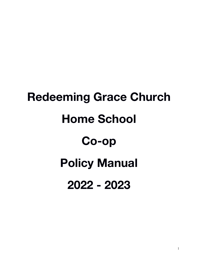# **Redeeming Grace Church Home School Co-op Policy Manual 2022 - 2023**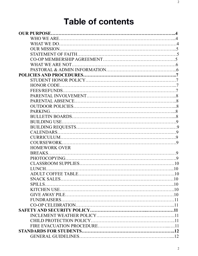## **Table of contents**

| <b>OUR PURPOSE.</b>  |  |
|----------------------|--|
|                      |  |
|                      |  |
|                      |  |
|                      |  |
|                      |  |
|                      |  |
|                      |  |
|                      |  |
|                      |  |
|                      |  |
|                      |  |
|                      |  |
|                      |  |
|                      |  |
|                      |  |
|                      |  |
|                      |  |
|                      |  |
|                      |  |
|                      |  |
|                      |  |
| <b>HOMEWORK OVER</b> |  |
|                      |  |
|                      |  |
|                      |  |
|                      |  |
|                      |  |
|                      |  |
| $SPILLS$             |  |
|                      |  |
|                      |  |
|                      |  |
|                      |  |
|                      |  |
|                      |  |
|                      |  |
|                      |  |
|                      |  |
|                      |  |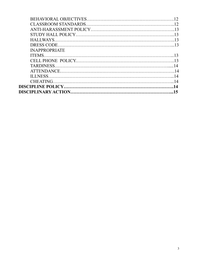| <b>INAPPROPRIATE</b> |  |
|----------------------|--|
|                      |  |
|                      |  |
|                      |  |
|                      |  |
|                      |  |
|                      |  |
|                      |  |
|                      |  |
|                      |  |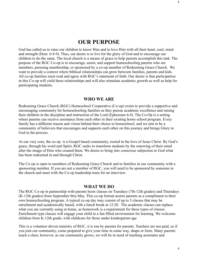#### **OUR PURPOSE**

God has called us to raise our children to know Him and to love Him with all their heart, soul, mind and strength (Deut. 6:4-9). Thus, our desire is to live for the glory of God and to encourage our children to do the same. The local church is a means of grace to help parents accomplish this task. The purpose of the RGC Co-op is to encourage, assist, and support homeschooling parents who are members, pursuing membership, or sponsored by a co-op member of Redeeming Grace Church. We want to provide a context where biblical relationships can grow between families, parents and kids. All co-op families must read and agree with RGC's statement of faith. Our desire is that participation in this Co-op will yield these relationships and will also stimulate academic growth as well as help for participating students.

#### **WHO WE ARE**

Redeeming Grace Church (RGC) Homeschool Cooperative (Co-op) exists to provide a supportive and encouraging community for homeschooling families as they pursue academic excellence and raising their children in the discipline and instruction of the Lord (Ephesians 6:4). The Co-Op is a setting where parents can receive assistance from each other in their existing home school program. Every family has a different reason and vision behind their choice to homeschool, and we aim to be a community of believers that encourages and supports each other on this journey and brings Glory to God in the process.

At our very core, the co-op is a Gospel based community, rooted in the love of Jesus Christ. By God's grace, through his word and Spirit, RGC seeks to transform students by the renewing of their mind after the image of Him who created them. We desire to bring into conscious subjection to God what has been redeemed in and through Christ.

The Co-op is open to members of Redeeming Grace Church and to families in our community with a sponsoring member. If you are not a member of RGC, you will need to be sponsored by someone in the church and meet with the Co-op leadership team for an interview.

#### **WHAT WE DO**

The RGC Co-op in partnership with parents hosts classes on Tuesdays (7th-12th grades) and Thursdays (K-12th grades) from September thru May. This co-op format assists parents as a compliment to their own homeschooling program. A typical co-op day may consist of up to 5 classes that may be enrichment and academically based, with a lunch break at 12:20. The academic classes can replace what you are currently using at home, as homework is a requirement for these types of classes. Enrichment type classes will engage your child in a fun filled environment for learning. We welcome children from K-12th grade, with childcare for those under kindergarten age

This is a volunteer driven ministry of RGC, it is run by parents for parents. Teachers are not paid, so if you join our community, come prepared to give your time in some way, shape or form. Many parents teach a class; however, as our community grows, we will be in need of teaching assistants and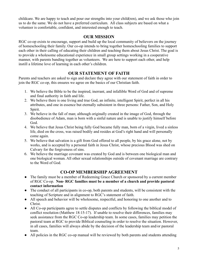childcare. We are happy to teach and pour our strengths into your child(ren), and we ask those who join us to do the same. We do not have a preferred curriculum. All class subjects are based on what a volunteer is comfortable, confident, and interested enough to teach.

#### **OUR MISSION**

RGC co-op exists to encourage, support and build up the local community of believers on the journey of homeschooling their family. Our co-op intends to bring together homeschooling families to support each other in their calling of educating their children and teaching them about Jesus Christ. The goal is to provide a wholesome educational experience in small group settings working in a cooperative manner, with parents banding together as volunteers. We are here to support each other, and help instill a lifetime love of learning in each other's children.

#### **OUR STATEMENT OF FAITH**

Parents and teachers are asked to sign and declare they agree with our statement of faith in order to join the RGC co-op, this ensures we agree on the basics of our Christian faith.

- 1. We believe the Bible to be the inspired, inerrant, and infallible Word of God and of supreme and final authority in faith and life.
- 2. We believe there is one living and true God, an infinite, intelligent Spirit, perfect in all his attributes, and one in essence but eternally subsistent in three persons: Father, Son, and Holy Spirit.
- 3. We believe in the fall of man; although originally created in the image of God, through the disobedience of Adam, man is born with a sinful nature and is unable to justify himself before God.
- 4. We believe that Jesus Christ being fully God became fully man, born of a virgin, lived a sinless life, died on the cross, was raised bodily and resides at God's right hand and will personally come again.
- 5. We believe that salvation is a gift from God offered to all people, by his grace alone, not by works, and is accepted by a personal faith in Jesus Christ, whose precious Blood was shed on Calvary for the forgiveness of sins.
- 6. We believe the marriage covenant was created by God and is between one biological man and one biological woman. All other sexual relationships outside of covenant marriage are contrary to the Word of God.

#### **CO-OP MEMBERSHIP AGREEMENT**

- The family must be a member of Redeeming Grace Church or sponsored by a current member of RGC Co-op. **Non- RGC families must be a member of a church and provide pastoral contact information**
- The conduct of all participants in co-op, both parents and students, will be consistent with the teaching of Scripture and in alignment to RGC's statement of faith.
- All speech and behavior will be wholesome, respectful, and honoring to one another and to Christ.
- All Co-op participants agree to settle disputes and conflicts by following the biblical model of conflict resolution (Matthew 18:15-17). If unable to resolve their differences, families may seek assistance from the RGC Co-op leadership team. In some cases, families may petition the pastoral team at RGC to provide Biblical counseling in order to resolve the situation. However, in all cases, families will always abide by the decision of the leadership team and/or pastoral team.
- All policies in the RGC co-op manual will be reviewed by both parents and students attending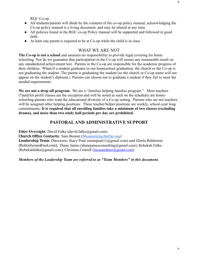6

RGC Co-op.

- All students/parents will abide by the contents of the co-op policy manual; acknowledging the Co-op policy manual is a living document, and may be altered at any time.
- All policies found in the RGC co-op Policy manual will be supported and followed in good faith.
- At least one parent is required to be at Co-op while the child is in class.

#### WHAT WE ARE NOT

**The Co-op is not a school** and assumes no responsibility to provide legal covering for home schooling. Nor do we guarantee that participation in the Co-op will ensure any measurable result on any standardized achievement test. Parents in the Co-op are responsible for the academic progress of their children. When/if a student graduates in our homeschool graduation, the church or the Co-op is not graduating the student. The parent is graduating the student (so the church or Co-op name will not appear on the student's diploma.). Parents can choose not to graduate a student if they fail to meet the needed requirements.

We are not a drop off program. We are a "families helping families program." Most teachers (\*paid/for profit classes are the exception and will be noted as such on the schedule) are homeschooling parents who want the educational diversity of a Co-op setting. Parents who are not teachers will be assigned other helping positions. These teacher/helper positions are weekly, school-year long commitments. **It is required that all enrolling families take a minimum of two classes (excluding drama), and more than two study hall periods per day are prohibited.**

#### **PASTORAL AND ADMINISTRATIVE SUPPORT**

**Elder Oversight:** David Falke (david.falke@gmail.com)

**Church Office Contacts:** Sam Bonnet [\(Sbonnet@rgcfairfax.org\)](mailto:Sbonnet@rgcfairfax.org)

**Leadership Team: Directors-** Stacy Pratt (mompratt11@gmail.com) and Gloria Robinson (Robin4sons@aol.com), Diane James (dianejamesconsulting@gmail.com), Rebekah Falke  $(Rebekahfalke@gmail.com)$ , Christina Cottrell  $(lucasandster@gmail.com)$ 

*Members of the Leadership Team are referred to as "Team Members" in this document.*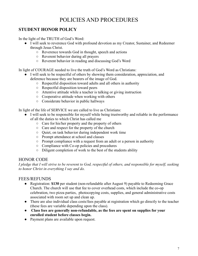## POLICIES AND PROCEDURES

#### **STUDENT HONOR POLICY**

In the light of the TRUTH of God's Word:

- I will seek to reverence God with profound devotion as my Creator, Sustainer, and Redeemer through Jesus Christ.
	- Reverence towards God in thought, speech and actions
	- Reverent behavior during all prayers
	- Reverent behavior in reading and discussing God's Word

In light of COURAGE needed to live the truth of God's Word as Christians:

- I will seek to be respectful of others by showing them consideration, appreciation, and deference because they are bearers of the image of God.
	- Respectful disposition toward adults and all others in authority
	- Respectful disposition toward peers
	- Attentive attitude while a teacher is talking or giving instruction
	- Cooperative attitude when working with others
	- Considerate behavior in public hallways

In light of the life of SERVICE we are called to live as Christians:

- I will seek to be responsible for myself while being trustworthy and reliable in the performance of all the duties to which Christ has called me
	- Care for his/her property and the property of others
	- Care and respect for the property of the church
	- Quiet, on task behavior during independent work time
	- Prompt attendance at school and classes
	- Prompt compliance with a request from an adult or a person in authority
	- Compliance with Co-op policies and procedures
	- Diligent completion of work to the best of the students ability

#### HONOR CODE

*I pledge that I will strive to be reverent to God, respectful of others, and responsible for myself, seeking to honor Christ in everything I say and do.* 

#### FEES/REFUNDS

- Registration: \$130 per student (non-refundable after August 9) payable to Redeeming Grace Church. The church will use that fee to cover overhead costs, which include the co-op celebration, two pizza parties, photocopying costs, supplies, and general administrative costs associated with room set up and clean up.
- There are also individual class costs/fees payable at registration which go directly to the teacher (these fees are variable depending upon the class).
- ● **Class fees are generally non-refundable, as the fees are spent on supplies for your enrolled student before classes begin.**
- Payment plans are available upon request.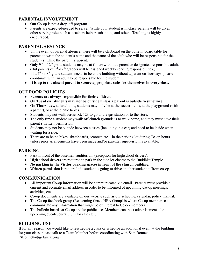#### **PARENTAL INVOLVEMENT**

- Our Co-op is not a drop-off program.
- Parents are expected/needed to serve. While your student is in class parents will be given other serving roles such as teachers helper, substitute, and others. Teaching is highly encouraged.

#### **PARENTAL ABSENCE**

- In the event of parental absence, there will be a clipboard on the bulletin board table for parents to write the student's name and the name of the adult who will be responsible for the student(s) while the parent is absent.
- Only  $9<sup>th</sup> 12<sup>th</sup>$  grade students may be at Co-op without a parent or designated responsible adult. (But parents of  $9<sup>th</sup>$ -12<sup>th</sup> graders will be assigned weekly serving responsibilities.)
- $\bullet$  If a 7<sup>th</sup> or 8<sup>th</sup> grade student needs to be at the building without a parent on Tuesdays, please coordinate with an adult to be responsible for the student.
- **It is up to the absent parent to secure appropriate subs for themselves in every class.**

#### **OUTDOOR POLICIES**

- **Parents are always responsible for their children.**
- **On Tuesdays, students may not be outside unless a parent is outside to supervise.**
- On Thursdays, at lunchtime, students may only be at the soccer fields, at the playground (with a parent), or at the picnic tables.
- Students may not walk across Rt. 123 to go to the gas station or to the store.
- The only time a student may walk off church grounds is to walk home, and they must have their parent's written permission.
- Students may not be outside between classes (including in a car) and need to be inside when waiting for a ride.
- There are to be no bikes, skateboards, scooters etc... in the parking lot during Co-op hours unless prior arrangements have been made and/or parental supervision is available.

#### **PARKING**

- Park in front of the basement auditorium (exception for highschool drivers).
- High school drivers are required to park in the side lot closest to the Buddhist Temple.
- **No parking in the Visitor parking spaces in front of the church building.**
- Written permission is required if a student is going to drive another student to/from co-op.

#### **COMMUNICATION**

- All important Co-op information will be communicated via email. Parents must provide a current and accurate email address in order to be informed of upcoming Co-op meetings, activities, etc.,
- Co-op documents are available on our website such as our schedule, calendar, policy manual.
- The Co-op facebook group (Redeeming Grace HEA Group) is where Co-op members can communicate any information that might be of interest to Co-op members.
- The bulletin boards at Co-op are for public use. Members can post advertisements for upcoming events, curriculum for sale etc….

#### **BUILDING USE**

If for any reason you would like to reschedule a class or schedule an additional event at the building for your class, please talk to a Team Member before coordinating with Sam Bonnet (SBonnet[t@rgcfairfax.org\)](mailto:sstrylowski@rgcfairfax.org).

8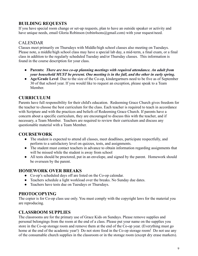#### **BUILDING REQUESTS**

If you have special room change or set-up requests, plan to have an outside speaker or activity and have unique needs, email Gloria Robinson (robin4sons@gmail.com) with your request/need.

#### CALENDAR

Classes meet primarily on Thursdays with Middle/high school classes also meeting on Tuesdays. Please note, a middle/high school class may have a special lab day, a mid-term, a final exam, or a final class in addition to the regularly scheduled Tuesday and/or Thursday classes. This information is found in the course description for your class.

- **Parents:** *There are two co-op planning meetings with required attendance. An adult from your household MUST be present. One meeting is in the fall, and the other in early spring.*
- **Age/Grade Level** Due to the size of the Co-op, kindergartners need to be five as of September 30 of that school year. If you would like to request an exception, please speak to a Team Member.

#### **CURRICULUM**

Parents have full responsibility for their child's education. Redeeming Grace Church gives freedom for the teacher to choose the best curriculum for the class. Each teacher is required to teach in accordance with Scripture and with the practices and beliefs of Redeeming Grace Church. If parents have a concern about a specific curriculum, they are encouraged to discuss this with the teacher, and if necessary, a Team Member. Teachers are required to review their curriculum and discuss any questionable material with a Team Member.

#### **COURSEWORK**

- The student is expected to attend all classes, meet deadlines, participate respectfully, and perform to a satisfactory level on quizzes, tests, and assignments.
- The student must contact teachers in advance to obtain information regarding assignments that will be missed while the student is away from school
- All tests should be proctored, put in an envelope, and signed by the parent. Homework should be overseen by the parent.

#### **HOMEWORK OVER BREAKS**

- Co-op's scheduled days off are listed on the Co-op calendar.
- Teachers schedule a light workload over the breaks. No Sunday due dates.
- Teachers have tests due on Tuesdays or Thursdays.

#### **PHOTOCOPYING**

The copier is for Co-op class use only. You must comply with the copyright laws for the material you are reproducing.

#### **CLASSROOM SUPPLIES**

The classrooms are for the primary use of Grace Kids on Sundays. Please remove supplies and personal belongings from the room at the end of a class. Please put your name on the supplies you store in the Co-op storage room and remove them at the end of the Co-op year. (Everything must go home at the end of the academic year!) Do not store food in the Co-op storage room! Do not use any of the consumable church supplies in the classroom or in the storage room (except dry erase markers).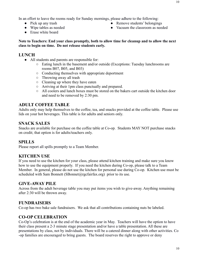- Pick up any trash
- Wipe tables as needed
- Erase white board
- Remove students' belongings
- Vacuum the classroom as needed

#### **LUNCH**

- All students and parents are responsible for:
	- Eating lunch in the basement and/or outside (Exceptions: Tuesday lunchrooms are rooms B07, B05, and B03)
	- Conducting themselves with appropriate deportment
	- Throwing away all trash
	- Cleaning up where they have eaten
	- Arriving at their 1pm class punctually and prepared.
	- All coolers and lunch boxes must be stored on the bakers cart outside the kitchen door and need to be removed by 2:30 pm.

#### **ADULT COFFEE TABLE**

Adults only may help themselves to the coffee, tea, and snacks provided at the coffee table. Please use lids on your hot beverages. This table is for adults and seniors only.

#### **SNACK SALES**

Snacks are available for purchase on the coffee table at Co-op. Students MAY NOT purchase snacks on credit; that option is for adults/teachers only.

#### **SPILLS**

Please report all spills promptly to a Team Member.

#### **KITCHEN USE**

If you need to use the kitchen for your class, please attend kitchen training and make sure you know how to use the equipment properly. If you need the kitchen during Co-op, please talk to a Team Member. In general, please do not use the kitchen for personal use during Co-op. Kitchen use must be scheduled with Sam Bonnett (SBonnet@rgcfairfax.org) prior to its use.

#### **GIVE-AWAY PILE**

Across from the adult beverage table you may put items you wish to give-away. Anything remaining after 2:30 will be thrown away.

#### **FUNDRAISERS**

Co-op has two bake sale fundraisers. We ask that all contributions containing nuts be labeled.

#### **CO-OP CELEBRATION**

Co-Op's celebration is at the end of the academic year in May. Teachers will have the option to have their class present a 2-3 minute stage presentation and/or have a table presentation. All these are presentations by class, not by individuals. There will be a catered dinner along with other activities. Co -op families are encouraged to bring guests. The board reserves the right to approve or deny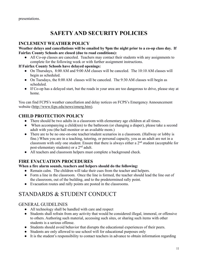## **SAFETY AND SECURITY POLICIES**

#### **INCLEMENT WEATHER POLICY**

#### **Weather delays and cancellations will be emailed by 9pm the night prior to a co-op class day. If Fairfax County Schools are closed (due to road conditions):**

• All Co-op classes are canceled. Teachers may contact their students with any assignments to complete for the following week or with further assignment instructions.

#### **If Fairfax County Schools have delayed openings:**

- On Thursdays, 8:00 AM and 9:00 AM classes will be canceled. The 10:10 AM classes will begin as scheduled.
- On Tuesdays, the 8:00 AM classes will be canceled. The 9:30 AM classes will begin as scheduled.
- If Co-op has a delayed start, but the roads in your area are too dangerous to drive, please stay at home.

You can find FCPS's weather cancellation and delay notices on FCPS's Emergency Announcement website [\(http://www.fcps.edu/news/emerg.htm\)](http://www.fcps.edu/news/emerg.htm).

#### **CHILD PROTECTION POLICY**

- There should be two adults in a classroom with elementary age children at all times.
- When accompanying a child(ren) to the bathroom (or changing a diaper), please take a second adult with you (the hall monitor or an available mom.)
- There are to be no one-on-one teacher/student scenarios in a classroom. (Hallway or lobby is fine.) When you are in a teaching, tutoring, or personal capacity, you as an adult are not in a classroom with only one student. Ensure that there is always either a  $2<sup>nd</sup>$  student (acceptable for post-elementary students) or a  $2<sup>nd</sup>$  adult.
- All teachers and classroom helpers must complete a background check.

#### **FIRE EVACUATION PROCEDURES**

#### **When a fire alarm sounds, teachers and helpers should do the following:**

- Remain calm. The children will take their cues from the teacher and helpers.
- Form a line in the classroom. Once the line is formed, the teacher should lead the line out of the classroom, out of the building, and to the predetermined rally point.
- Evacuation routes and rally points are posted in the classrooms.

## STANDARDS & STUDENT CONDUCT

#### GENERAL GUIDELINES

- All technology shall be handled with care and respect
- Students shall refrain from any activity that would be considered illegal, immoral, or offensive to others. Authoring such material, accessing such sites, or sharing such items with other students is a serious offense.
- Students should avoid behavior that disrupts the educational experiences of their peers.
- Students are only allowed to use school wifi for educational purposes only
- It is the student's responsibility to contact teachers in advance to obtain information regarding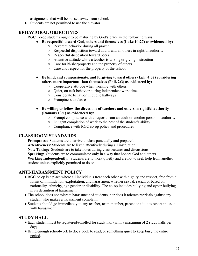● Students are not permitted to use the elevator.

#### **BEHAVIORAL OBJECTIVES**

RGC Co-op students ought to be maturing by God's grace in the following ways:

- **Be respectful toward God, others and themselves (Luke 10:27) as evidenced by:**
	- Reverent behavior during all prayer
	- Respectful disposition toward adults and all others in rightful authority
	- Respectful disposition toward peers
	- Attentive attitude while a teacher is talking or giving instruction
	- Care for hi/sherproperty and the property of others
	- Care and respect for the property of the school
- **Be kind, and compassionate, and forgiving toward others (Eph. 4:32) considering others more important than themselves (Phil. 2:3) as evidenced by:**
	- Cooperative attitude when working with others
	- Quiet, on task behavior during independent work time
	- Considerate behavior in public hallways
	- Promptness to classes
- **Be willing to follow the directions of teachers and others in rightful authority (Romans 13:1) as evidenced by:**
	- Prompt compliance with a request from an adult or another person in authority
	- Diligent completion of work to the best of the student's ability
	- Compliance with RGC co-op policy and procedures

#### **CLASSROOM STANDARDS**

**Promptness:** Students are to arrive to class punctually and prepared.

**Attentiveness:** Students are to listen attentively during all instruction.

**Note Taking:** Students are to take notes during class lectures and discussions.

**Speaking:** Students are to communicate only in a way that honors God and others.

**Working Independently:** Students are to work quietly and are not to seek help from another student unless explicitly permitted to do so.

#### **ANTI-HARASSMENT POLICY**

- RGC co op is a place where all individuals treat each other with dignity and respect, free from all forms of intimidation, exploitation, and harassment whether sexual, racial, or based on nationality, ethnicity, age gender or disability. The co-op includes bullying and cyber-bullying in its definition of harassment.
- The school does not tolerate harassment of students, nor does it tolerate reprisals against any student who makes a harassment complaint.
- Students should go immediately to any teacher, team member, parent or adult to report an issue with harassment.

#### **STUDY HALL**

- Each student must be registered/enrolled for study hall (with a maximum of 2 study halls per day).
- Bring enough schoolwork to do, a book to read, or something quiet to keep busy the entire period.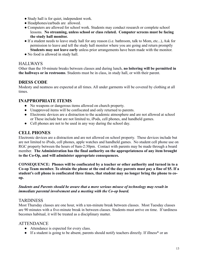- Study hall is for quiet, independent work.
- Headphones/earbuds are allowed.
- Computers are allowed for school work. Students may conduct research or complete school lessons. **No streaming, unless school or class related. Computer screens must be facing the study hall monitor.**
- If a student needs to leave study hall for any reason (i.e. bathroom, talk to Mom, etc...), Ask for permission to leave and tell the study hall monitor where you are going and return promptly. **Students may not leave early** unless prior arrangements have been made with the monitor.
- No food is allowed in study hall.

#### HALLWAYS

Other than the 10-minute breaks between classes and during lunch, **no loitering will be permitted in the hallways or in restrooms**. Students must be in class, in study hall, or with their parent.

#### **DRESS CODE**

Modesty and neatness are expected at all times. All under garments will be covered by clothing at all times.

#### **INAPPROPRIATE ITEMS**

- No weapons or dangerous items allowed on church property.
- Unapproved items will be confiscated and only returned to parents.
- Electronic devices are a distraction to the academic atmosphere and are not allowed at school or These include but are not limited to, iPods, cell phones, and handheld games.
- Cell phones are not to be used in any way during the school day.

#### **CELL PHONES**

Electronic devices are a distraction and are not allowed on school property. These devices include but are not limited to iPods, cell phones, apple watches and handheld games. No student cell phone use on RGC property between the hours of 8am-2:30pm. Contact with parents may be made through a board member. **The Administration has the final authority on the appropriateness of any item brought to the Co-Op, and will administer appropriate consequences.** 

**CONSEQUENCE: Phones will be confiscated by a teacher or other authority and turned in to a Co-op Team member. To obtain the phone at the end of the day parents must pay a fine of \$5. If a student's cell phone is confiscated three times, that student may no longer bring the phone to coop.** 

*Students and Parents should be aware that a more serious misuse of technology may result in immediate parental involvement and a meeting with the Co-op board.*

#### **TARDINESS**

Most Thursday classes are one hour, with a ten-minute break between classes. Most Tuesday classes are 90 minutes with a five-minute break in between classes. Students must arrive on time. If tardiness becomes habitual, it will be treated as a disciplinary matter.

#### ATTENDANCE

- Attendance is expected for every class.
- If a student is going to be absent, parents should notify teachers directly. If illness<sup>\*</sup> or an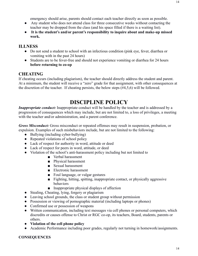emergency should arise, parents should contact each teacher directly as soon as possible.

- Any student who does not attend class for three consecutive weeks without contacting the teacher may be dropped from the class (and his space filled if there is a waiting list).
- ● **It is the student's and/or parent's responsibility to inquire about and make-up missed work.**

#### **ILLNESS**

- Do not send a student to school with an infectious condition (pink eye, fever, diarrhea or vomiting with in the past 24 hours)
- Students are to be fever-free and should not experience vomiting or diarrhea for 24 hours **before returning to co-op**

#### **CHEATING**

If cheating occurs (including plagiarism), the teacher should directly address the student and parent. At a minimum, the student will receive a "zero" grade for that assignment, with other consequences at the discretion of the teacher. If cheating persists, the below steps (#4,5,6) will be followed.

### **DISCIPLINE POLICY**

*Inappropriate conduct:* Inappropriate conduct will be handled by the teacher and is addressed by a progression of consequences which may include, but are not limited to, a loss of privileges, a meeting with the teacher and/or administration, and a parent conference.

*Gross Misconduct:* Gross misconduct or repeated offenses may result in suspension, probation, or expulsion. Examples of such misbehaviors include, but are not limited to the following:

- Bullying (including cyber-bullying)
- Repeated violations of school policy
- Lack of respect for authority in word, attitude or deed
- Lack of respect for peers in word, attitude, or deed
- Violation of the school's anti-harassment policy including but not limited to
	- Verbal harassment
	- Physical harassment
	- Sexual harassment
	- Electronic harassment
	- Foul language, or vulgar gestures
	- Fighting, hitting, spitting, inappropriate contact, or physically aggressive behaviors
	- Inappropriate physical displays of affection
- Stealing, Cheating, lying, forgery or plagiarism
- Leaving school grounds, the class or student group without permission
- Possession or viewing of pornographic material (including laptops or phones)
- Confirmed use or possession of weapons
- Written communication, including text messages via cell phones or personal computers, which discredits or causes offense to Christ or RGC co-op, its teachers, Board, students, parents or others.
- **Violation of the cell phone policy**
- Academic Performance including poor grades, regularly not turning in homework/assignments.

#### **CONSEQUENCES**